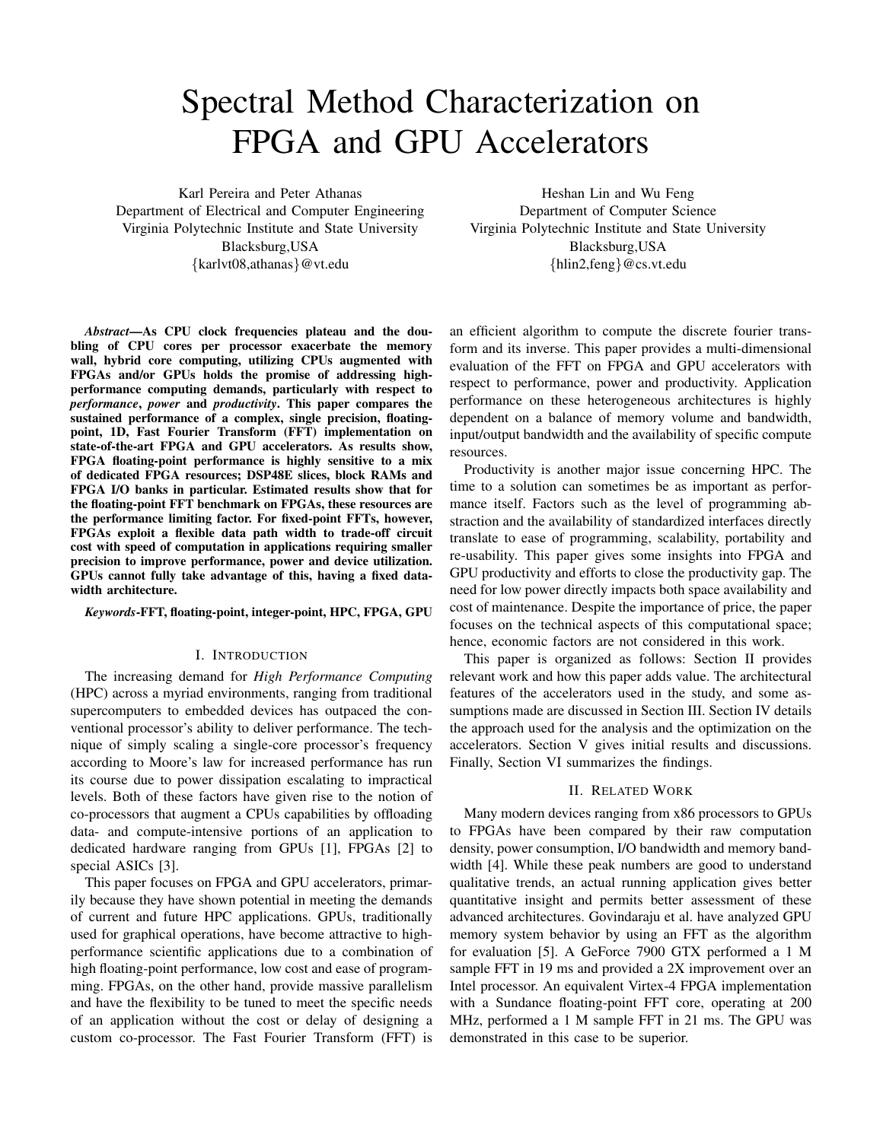# Spectral Method Characterization on FPGA and GPU Accelerators

Karl Pereira and Peter Athanas Department of Electrical and Computer Engineering Virginia Polytechnic Institute and State University Blacksburg,USA {karlvt08,athanas}@vt.edu

*Abstract*—As CPU clock frequencies plateau and the doubling of CPU cores per processor exacerbate the memory wall, hybrid core computing, utilizing CPUs augmented with FPGAs and/or GPUs holds the promise of addressing highperformance computing demands, particularly with respect to *performance*, *power* and *productivity*. This paper compares the sustained performance of a complex, single precision, floatingpoint, 1D, Fast Fourier Transform (FFT) implementation on state-of-the-art FPGA and GPU accelerators. As results show, FPGA floating-point performance is highly sensitive to a mix of dedicated FPGA resources; DSP48E slices, block RAMs and FPGA I/O banks in particular. Estimated results show that for the floating-point FFT benchmark on FPGAs, these resources are the performance limiting factor. For fixed-point FFTs, however, FPGAs exploit a flexible data path width to trade-off circuit cost with speed of computation in applications requiring smaller precision to improve performance, power and device utilization. GPUs cannot fully take advantage of this, having a fixed datawidth architecture.

#### *Keywords*-FFT, floating-point, integer-point, HPC, FPGA, GPU

#### I. INTRODUCTION

The increasing demand for *High Performance Computing* (HPC) across a myriad environments, ranging from traditional supercomputers to embedded devices has outpaced the conventional processor's ability to deliver performance. The technique of simply scaling a single-core processor's frequency according to Moore's law for increased performance has run its course due to power dissipation escalating to impractical levels. Both of these factors have given rise to the notion of co-processors that augment a CPUs capabilities by offloading data- and compute-intensive portions of an application to dedicated hardware ranging from GPUs [1], FPGAs [2] to special ASICs [3].

This paper focuses on FPGA and GPU accelerators, primarily because they have shown potential in meeting the demands of current and future HPC applications. GPUs, traditionally used for graphical operations, have become attractive to highperformance scientific applications due to a combination of high floating-point performance, low cost and ease of programming. FPGAs, on the other hand, provide massive parallelism and have the flexibility to be tuned to meet the specific needs of an application without the cost or delay of designing a custom co-processor. The Fast Fourier Transform (FFT) is

Heshan Lin and Wu Feng Department of Computer Science Virginia Polytechnic Institute and State University Blacksburg,USA {hlin2,feng}@cs.vt.edu

an efficient algorithm to compute the discrete fourier transform and its inverse. This paper provides a multi-dimensional evaluation of the FFT on FPGA and GPU accelerators with respect to performance, power and productivity. Application performance on these heterogeneous architectures is highly dependent on a balance of memory volume and bandwidth, input/output bandwidth and the availability of specific compute resources.

Productivity is another major issue concerning HPC. The time to a solution can sometimes be as important as performance itself. Factors such as the level of programming abstraction and the availability of standardized interfaces directly translate to ease of programming, scalability, portability and re-usability. This paper gives some insights into FPGA and GPU productivity and efforts to close the productivity gap. The need for low power directly impacts both space availability and cost of maintenance. Despite the importance of price, the paper focuses on the technical aspects of this computational space; hence, economic factors are not considered in this work.

This paper is organized as follows: Section II provides relevant work and how this paper adds value. The architectural features of the accelerators used in the study, and some assumptions made are discussed in Section III. Section IV details the approach used for the analysis and the optimization on the accelerators. Section V gives initial results and discussions. Finally, Section VI summarizes the findings.

## II. RELATED WORK

Many modern devices ranging from x86 processors to GPUs to FPGAs have been compared by their raw computation density, power consumption, I/O bandwidth and memory bandwidth [4]. While these peak numbers are good to understand qualitative trends, an actual running application gives better quantitative insight and permits better assessment of these advanced architectures. Govindaraju et al. have analyzed GPU memory system behavior by using an FFT as the algorithm for evaluation [5]. A GeForce 7900 GTX performed a 1 M sample FFT in 19 ms and provided a 2X improvement over an Intel processor. An equivalent Virtex-4 FPGA implementation with a Sundance floating-point FFT core, operating at 200 MHz, performed a 1 M sample FFT in 21 ms. The GPU was demonstrated in this case to be superior.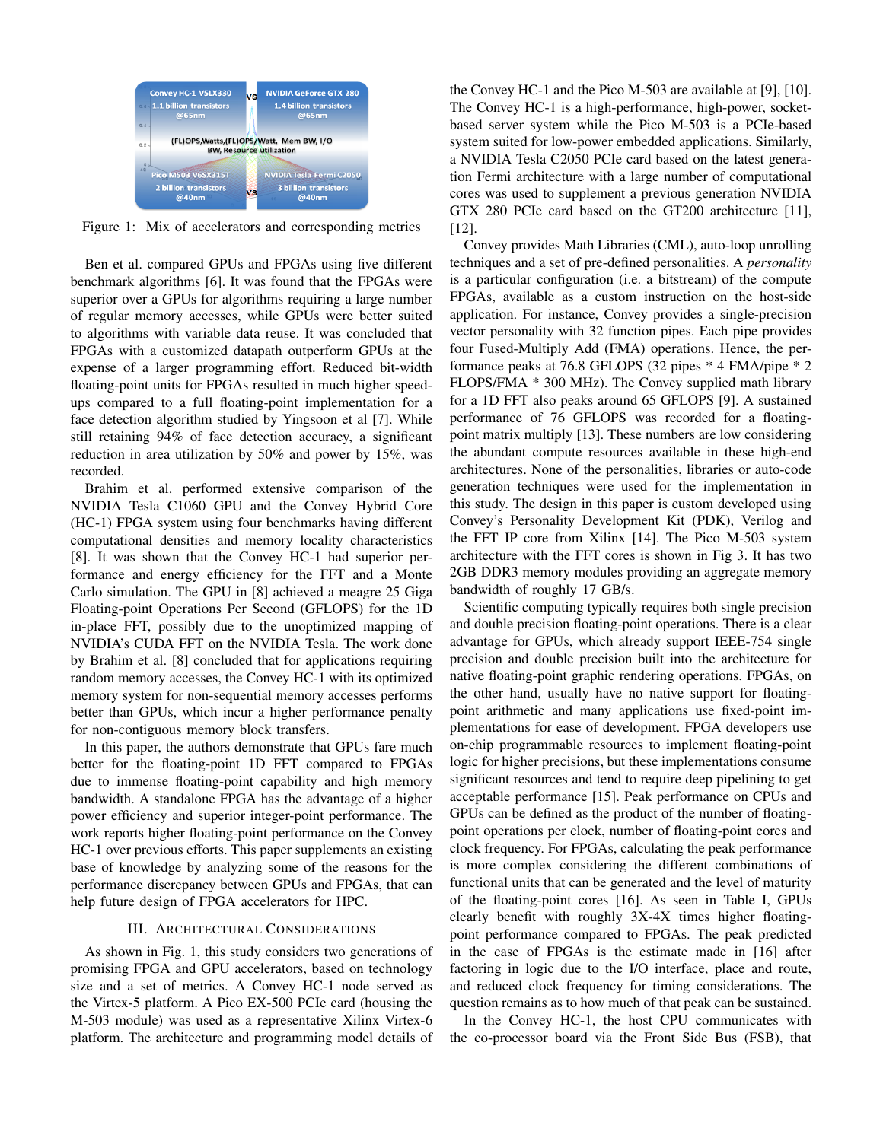

Figure 1: Mix of accelerators and corresponding metrics

Ben et al. compared GPUs and FPGAs using five different benchmark algorithms [6]. It was found that the FPGAs were superior over a GPUs for algorithms requiring a large number of regular memory accesses, while GPUs were better suited to algorithms with variable data reuse. It was concluded that FPGAs with a customized datapath outperform GPUs at the expense of a larger programming effort. Reduced bit-width floating-point units for FPGAs resulted in much higher speedups compared to a full floating-point implementation for a face detection algorithm studied by Yingsoon et al [7]. While still retaining 94% of face detection accuracy, a significant reduction in area utilization by 50% and power by 15%, was recorded.

Brahim et al. performed extensive comparison of the NVIDIA Tesla C1060 GPU and the Convey Hybrid Core (HC-1) FPGA system using four benchmarks having different computational densities and memory locality characteristics [8]. It was shown that the Convey HC-1 had superior performance and energy efficiency for the FFT and a Monte Carlo simulation. The GPU in [8] achieved a meagre 25 Giga Floating-point Operations Per Second (GFLOPS) for the 1D in-place FFT, possibly due to the unoptimized mapping of NVIDIA's CUDA FFT on the NVIDIA Tesla. The work done by Brahim et al. [8] concluded that for applications requiring random memory accesses, the Convey HC-1 with its optimized memory system for non-sequential memory accesses performs better than GPUs, which incur a higher performance penalty for non-contiguous memory block transfers.

In this paper, the authors demonstrate that GPUs fare much better for the floating-point 1D FFT compared to FPGAs due to immense floating-point capability and high memory bandwidth. A standalone FPGA has the advantage of a higher power efficiency and superior integer-point performance. The work reports higher floating-point performance on the Convey HC-1 over previous efforts. This paper supplements an existing base of knowledge by analyzing some of the reasons for the performance discrepancy between GPUs and FPGAs, that can help future design of FPGA accelerators for HPC.

# III. ARCHITECTURAL CONSIDERATIONS

As shown in Fig. 1, this study considers two generations of promising FPGA and GPU accelerators, based on technology size and a set of metrics. A Convey HC-1 node served as the Virtex-5 platform. A Pico EX-500 PCIe card (housing the M-503 module) was used as a representative Xilinx Virtex-6 platform. The architecture and programming model details of

the Convey HC-1 and the Pico M-503 are available at [9], [10]. The Convey HC-1 is a high-performance, high-power, socketbased server system while the Pico M-503 is a PCIe-based system suited for low-power embedded applications. Similarly, a NVIDIA Tesla C2050 PCIe card based on the latest generation Fermi architecture with a large number of computational cores was used to supplement a previous generation NVIDIA GTX 280 PCIe card based on the GT200 architecture [11], [12].

Convey provides Math Libraries (CML), auto-loop unrolling techniques and a set of pre-defined personalities. A *personality* is a particular configuration (i.e. a bitstream) of the compute FPGAs, available as a custom instruction on the host-side application. For instance, Convey provides a single-precision vector personality with 32 function pipes. Each pipe provides four Fused-Multiply Add (FMA) operations. Hence, the performance peaks at 76.8 GFLOPS (32 pipes \* 4 FMA/pipe \* 2 FLOPS/FMA \* 300 MHz). The Convey supplied math library for a 1D FFT also peaks around 65 GFLOPS [9]. A sustained performance of 76 GFLOPS was recorded for a floatingpoint matrix multiply [13]. These numbers are low considering the abundant compute resources available in these high-end architectures. None of the personalities, libraries or auto-code generation techniques were used for the implementation in this study. The design in this paper is custom developed using Convey's Personality Development Kit (PDK), Verilog and the FFT IP core from Xilinx [14]. The Pico M-503 system architecture with the FFT cores is shown in Fig 3. It has two 2GB DDR3 memory modules providing an aggregate memory bandwidth of roughly 17 GB/s.

Scientific computing typically requires both single precision and double precision floating-point operations. There is a clear advantage for GPUs, which already support IEEE-754 single precision and double precision built into the architecture for native floating-point graphic rendering operations. FPGAs, on the other hand, usually have no native support for floatingpoint arithmetic and many applications use fixed-point implementations for ease of development. FPGA developers use on-chip programmable resources to implement floating-point logic for higher precisions, but these implementations consume significant resources and tend to require deep pipelining to get acceptable performance [15]. Peak performance on CPUs and GPUs can be defined as the product of the number of floatingpoint operations per clock, number of floating-point cores and clock frequency. For FPGAs, calculating the peak performance is more complex considering the different combinations of functional units that can be generated and the level of maturity of the floating-point cores [16]. As seen in Table I, GPUs clearly benefit with roughly 3X-4X times higher floatingpoint performance compared to FPGAs. The peak predicted in the case of FPGAs is the estimate made in [16] after factoring in logic due to the I/O interface, place and route, and reduced clock frequency for timing considerations. The question remains as to how much of that peak can be sustained.

In the Convey HC-1, the host CPU communicates with the co-processor board via the Front Side Bus (FSB), that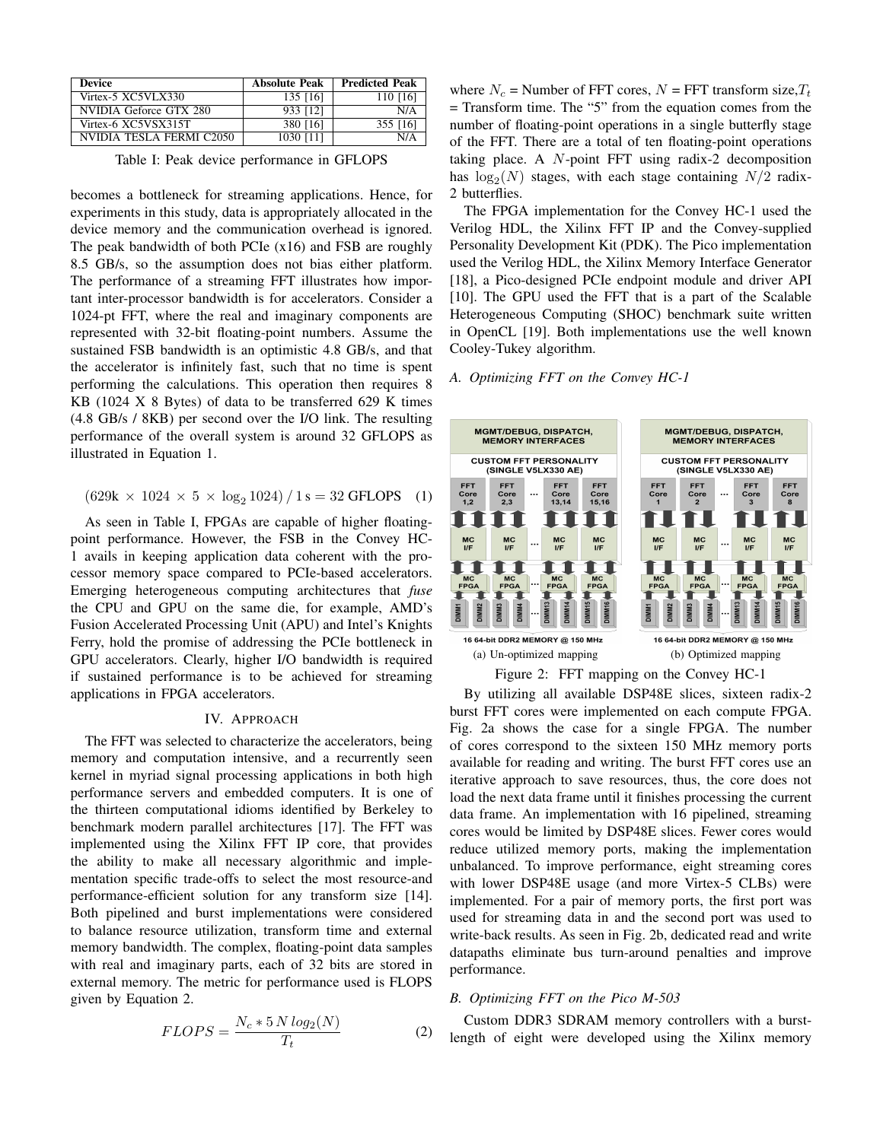| <b>Device</b>            | <b>Absolute Peak</b> | <b>Predicted Peak</b> |
|--------------------------|----------------------|-----------------------|
| Virtex-5 XC5VLX330       | 135 [16]             | 110 [16]              |
| NVIDIA Geforce GTX 280   | 933 [12]             | N/A                   |
| Virtex-6 XC5VSX315T      | 380 [16]             | 355 [16]              |
| NVIDIA TESLA FERMI C2050 | 1030 [11]            | N/A                   |

Table I: Peak device performance in GFLOPS

becomes a bottleneck for streaming applications. Hence, for experiments in this study, data is appropriately allocated in the device memory and the communication overhead is ignored. The peak bandwidth of both PCIe (x16) and FSB are roughly 8.5 GB/s, so the assumption does not bias either platform. The performance of a streaming FFT illustrates how important inter-processor bandwidth is for accelerators. Consider a 1024-pt FFT, where the real and imaginary components are represented with 32-bit floating-point numbers. Assume the sustained FSB bandwidth is an optimistic 4.8 GB/s, and that the accelerator is infinitely fast, such that no time is spent performing the calculations. This operation then requires 8 KB (1024 X 8 Bytes) of data to be transferred 629 K times (4.8 GB/s / 8KB) per second over the I/O link. The resulting performance of the overall system is around 32 GFLOPS as illustrated in Equation 1.

$$
(629k \times 1024 \times 5 \times \log_2 1024) / 1 s = 32 \text{ GFLOPS} \quad (1)
$$

As seen in Table I, FPGAs are capable of higher floatingpoint performance. However, the FSB in the Convey HC-1 avails in keeping application data coherent with the processor memory space compared to PCIe-based accelerators. Emerging heterogeneous computing architectures that *fuse* the CPU and GPU on the same die, for example, AMD's Fusion Accelerated Processing Unit (APU) and Intel's Knights Ferry, hold the promise of addressing the PCIe bottleneck in GPU accelerators. Clearly, higher I/O bandwidth is required if sustained performance is to be achieved for streaming applications in FPGA accelerators.

## IV. APPROACH

The FFT was selected to characterize the accelerators, being memory and computation intensive, and a recurrently seen kernel in myriad signal processing applications in both high performance servers and embedded computers. It is one of the thirteen computational idioms identified by Berkeley to benchmark modern parallel architectures [17]. The FFT was implemented using the Xilinx FFT IP core, that provides the ability to make all necessary algorithmic and implementation specific trade-offs to select the most resource-and performance-efficient solution for any transform size [14]. Both pipelined and burst implementations were considered to balance resource utilization, transform time and external memory bandwidth. The complex, floating-point data samples with real and imaginary parts, each of 32 bits are stored in external memory. The metric for performance used is FLOPS given by Equation 2.

$$
FLOPS = \frac{N_c * 5 N \log_2(N)}{T_t}
$$
 (2)

where  $N_c$  = Number of FFT cores,  $N$  = FFT transform size,  $T_t$ = Transform time. The "5" from the equation comes from the number of floating-point operations in a single butterfly stage of the FFT. There are a total of ten floating-point operations taking place. A N-point FFT using radix-2 decomposition has  $\log_2(N)$  stages, with each stage containing  $N/2$  radix-2 butterflies.

The FPGA implementation for the Convey HC-1 used the Verilog HDL, the Xilinx FFT IP and the Convey-supplied Personality Development Kit (PDK). The Pico implementation used the Verilog HDL, the Xilinx Memory Interface Generator [18], a Pico-designed PCIe endpoint module and driver API [10]. The GPU used the FFT that is a part of the Scalable Heterogeneous Computing (SHOC) benchmark suite written in OpenCL [19]. Both implementations use the well known Cooley-Tukey algorithm.

## *A. Optimizing FFT on the Convey HC-1*



By utilizing all available DSP48E slices, sixteen radix-2 burst FFT cores were implemented on each compute FPGA. Fig. 2a shows the case for a single FPGA. The number of cores correspond to the sixteen 150 MHz memory ports available for reading and writing. The burst FFT cores use an iterative approach to save resources, thus, the core does not load the next data frame until it finishes processing the current data frame. An implementation with 16 pipelined, streaming cores would be limited by DSP48E slices. Fewer cores would reduce utilized memory ports, making the implementation unbalanced. To improve performance, eight streaming cores with lower DSP48E usage (and more Virtex-5 CLBs) were implemented. For a pair of memory ports, the first port was used for streaming data in and the second port was used to write-back results. As seen in Fig. 2b, dedicated read and write datapaths eliminate bus turn-around penalties and improve performance.

## *B. Optimizing FFT on the Pico M-503*

Custom DDR3 SDRAM memory controllers with a burstlength of eight were developed using the Xilinx memory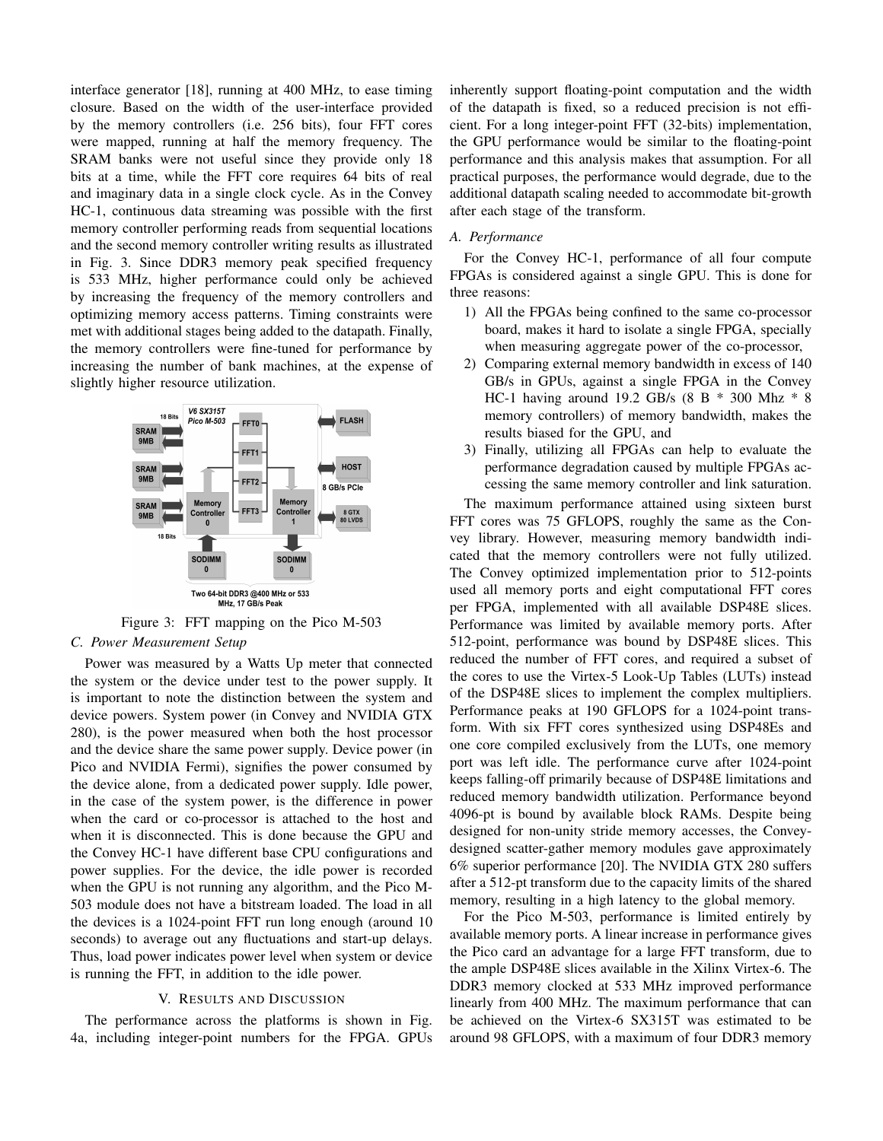interface generator [18], running at 400 MHz, to ease timing closure. Based on the width of the user-interface provided by the memory controllers (i.e. 256 bits), four FFT cores were mapped, running at half the memory frequency. The SRAM banks were not useful since they provide only 18 bits at a time, while the FFT core requires 64 bits of real and imaginary data in a single clock cycle. As in the Convey HC-1, continuous data streaming was possible with the first memory controller performing reads from sequential locations and the second memory controller writing results as illustrated in Fig. 3. Since DDR3 memory peak specified frequency is 533 MHz, higher performance could only be achieved by increasing the frequency of the memory controllers and optimizing memory access patterns. Timing constraints were met with additional stages being added to the datapath. Finally, the memory controllers were fine-tuned for performance by increasing the number of bank machines, at the expense of slightly higher resource utilization.



Figure 3: FFT mapping on the Pico M-503 *C. Power Measurement Setup*

Power was measured by a Watts Up meter that connected the system or the device under test to the power supply. It is important to note the distinction between the system and device powers. System power (in Convey and NVIDIA GTX 280), is the power measured when both the host processor and the device share the same power supply. Device power (in Pico and NVIDIA Fermi), signifies the power consumed by the device alone, from a dedicated power supply. Idle power, in the case of the system power, is the difference in power when the card or co-processor is attached to the host and when it is disconnected. This is done because the GPU and the Convey HC-1 have different base CPU configurations and power supplies. For the device, the idle power is recorded when the GPU is not running any algorithm, and the Pico M-503 module does not have a bitstream loaded. The load in all the devices is a 1024-point FFT run long enough (around 10 seconds) to average out any fluctuations and start-up delays. Thus, load power indicates power level when system or device is running the FFT, in addition to the idle power.

### V. RESULTS AND DISCUSSION

The performance across the platforms is shown in Fig. 4a, including integer-point numbers for the FPGA. GPUs inherently support floating-point computation and the width of the datapath is fixed, so a reduced precision is not efficient. For a long integer-point FFT (32-bits) implementation, the GPU performance would be similar to the floating-point performance and this analysis makes that assumption. For all practical purposes, the performance would degrade, due to the additional datapath scaling needed to accommodate bit-growth after each stage of the transform.

# *A. Performance*

For the Convey HC-1, performance of all four compute FPGAs is considered against a single GPU. This is done for three reasons:

- 1) All the FPGAs being confined to the same co-processor board, makes it hard to isolate a single FPGA, specially when measuring aggregate power of the co-processor,
- 2) Comparing external memory bandwidth in excess of 140 GB/s in GPUs, against a single FPGA in the Convey HC-1 having around 19.2 GB/s (8 B \* 300 Mhz \* 8 memory controllers) of memory bandwidth, makes the results biased for the GPU, and
- 3) Finally, utilizing all FPGAs can help to evaluate the performance degradation caused by multiple FPGAs accessing the same memory controller and link saturation.

The maximum performance attained using sixteen burst FFT cores was 75 GFLOPS, roughly the same as the Convey library. However, measuring memory bandwidth indicated that the memory controllers were not fully utilized. The Convey optimized implementation prior to 512-points used all memory ports and eight computational FFT cores per FPGA, implemented with all available DSP48E slices. Performance was limited by available memory ports. After 512-point, performance was bound by DSP48E slices. This reduced the number of FFT cores, and required a subset of the cores to use the Virtex-5 Look-Up Tables (LUTs) instead of the DSP48E slices to implement the complex multipliers. Performance peaks at 190 GFLOPS for a 1024-point transform. With six FFT cores synthesized using DSP48Es and one core compiled exclusively from the LUTs, one memory port was left idle. The performance curve after 1024-point keeps falling-off primarily because of DSP48E limitations and reduced memory bandwidth utilization. Performance beyond 4096-pt is bound by available block RAMs. Despite being designed for non-unity stride memory accesses, the Conveydesigned scatter-gather memory modules gave approximately 6% superior performance [20]. The NVIDIA GTX 280 suffers after a 512-pt transform due to the capacity limits of the shared memory, resulting in a high latency to the global memory.

For the Pico M-503, performance is limited entirely by available memory ports. A linear increase in performance gives the Pico card an advantage for a large FFT transform, due to the ample DSP48E slices available in the Xilinx Virtex-6. The DDR3 memory clocked at 533 MHz improved performance linearly from 400 MHz. The maximum performance that can be achieved on the Virtex-6 SX315T was estimated to be around 98 GFLOPS, with a maximum of four DDR3 memory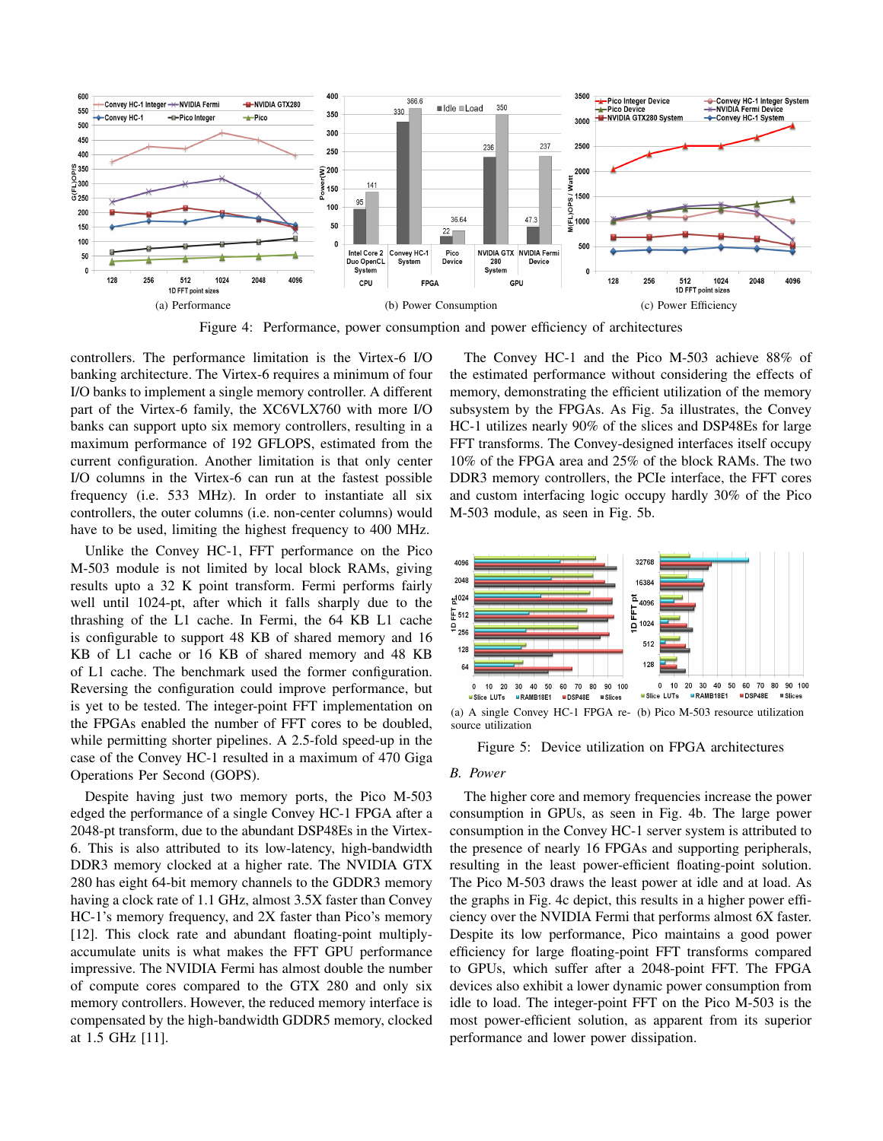

Figure 4: Performance, power consumption and power efficiency of architectures

controllers. The performance limitation is the Virtex-6 I/O banking architecture. The Virtex-6 requires a minimum of four I/O banks to implement a single memory controller. A different part of the Virtex-6 family, the XC6VLX760 with more I/O banks can support upto six memory controllers, resulting in a maximum performance of 192 GFLOPS, estimated from the current configuration. Another limitation is that only center I/O columns in the Virtex-6 can run at the fastest possible frequency (i.e. 533 MHz). In order to instantiate all six controllers, the outer columns (i.e. non-center columns) would have to be used, limiting the highest frequency to 400 MHz.

Unlike the Convey HC-1, FFT performance on the Pico M-503 module is not limited by local block RAMs, giving results upto a 32 K point transform. Fermi performs fairly well until 1024-pt, after which it falls sharply due to the thrashing of the L1 cache. In Fermi, the 64 KB L1 cache is configurable to support 48 KB of shared memory and 16 KB of L1 cache or 16 KB of shared memory and 48 KB of L1 cache. The benchmark used the former configuration. Reversing the configuration could improve performance, but is yet to be tested. The integer-point FFT implementation on the FPGAs enabled the number of FFT cores to be doubled, while permitting shorter pipelines. A 2.5-fold speed-up in the case of the Convey HC-1 resulted in a maximum of 470 Giga Operations Per Second (GOPS).

Despite having just two memory ports, the Pico M-503 edged the performance of a single Convey HC-1 FPGA after a 2048-pt transform, due to the abundant DSP48Es in the Virtex-6. This is also attributed to its low-latency, high-bandwidth DDR3 memory clocked at a higher rate. The NVIDIA GTX 280 has eight 64-bit memory channels to the GDDR3 memory having a clock rate of 1.1 GHz, almost 3.5X faster than Convey HC-1's memory frequency, and 2X faster than Pico's memory [12]. This clock rate and abundant floating-point multiplyaccumulate units is what makes the FFT GPU performance impressive. The NVIDIA Fermi has almost double the number of compute cores compared to the GTX 280 and only six memory controllers. However, the reduced memory interface is compensated by the high-bandwidth GDDR5 memory, clocked at 1.5 GHz [11].

The Convey HC-1 and the Pico M-503 achieve 88% of the estimated performance without considering the effects of memory, demonstrating the efficient utilization of the memory subsystem by the FPGAs. As Fig. 5a illustrates, the Convey HC-1 utilizes nearly 90% of the slices and DSP48Es for large FFT transforms. The Convey-designed interfaces itself occupy 10% of the FPGA area and 25% of the block RAMs. The two DDR3 memory controllers, the PCIe interface, the FFT cores and custom interfacing logic occupy hardly 30% of the Pico M-503 module, as seen in Fig. 5b.



source utilization

Figure 5: Device utilization on FPGA architectures

#### *B. Power*

The higher core and memory frequencies increase the power consumption in GPUs, as seen in Fig. 4b. The large power consumption in the Convey HC-1 server system is attributed to the presence of nearly 16 FPGAs and supporting peripherals, resulting in the least power-efficient floating-point solution. The Pico M-503 draws the least power at idle and at load. As the graphs in Fig. 4c depict, this results in a higher power efficiency over the NVIDIA Fermi that performs almost 6X faster. Despite its low performance, Pico maintains a good power efficiency for large floating-point FFT transforms compared to GPUs, which suffer after a 2048-point FFT. The FPGA devices also exhibit a lower dynamic power consumption from idle to load. The integer-point FFT on the Pico M-503 is the most power-efficient solution, as apparent from its superior performance and lower power dissipation.